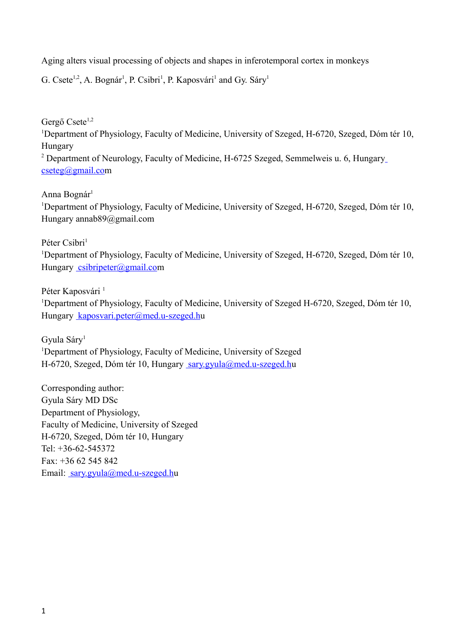Aging alters visual processing of objects and shapes in inferotemporal cortex in monkeys

G. Csete<sup>1,2</sup>, A. Bognár<sup>1</sup>, P. Csibri<sup>1</sup>, P. Kaposvári<sup>1</sup> and Gy. Sáry<sup>1</sup>

Gergő Csete<sup>1,2</sup>

<sup>1</sup>Department of Physiology, Faculty of Medicine, University of Szeged, H-6720, Szeged, Dóm tér 10, Hungary

<sup>2</sup> Department of Neurolog[y](mailto:cseteg@gmail.com), Faculty of Medicine, H-6725 Szeged, Semmelweis u. 6, Hungary [cseteg@gmail.com](mailto:cseteg@gmail.com)

Anna Bognár<sup>1</sup>

<sup>1</sup>Department of Physiology, Faculty of Medicine, University of Szeged, H-6720, Szeged, Dóm tér 10, Hungary annab89@gmail.com

Péter Csibri<sup>1</sup>

<sup>1</sup>Department of Physiology, Faculty of Medicine, University of Szeged, H-6720, Szeged, Dóm tér 10, Hungary [csibripeter@gmail.com](mailto:csibripeter@gmail.com)

Péter Kaposvári<sup>1</sup>

<sup>1</sup>Department of Physiology, Faculty of Medicine, University of Szeged H-6720, Szeged, Dóm tér 10, Hungary [kaposvari.peter@med.u-szeged.hu](mailto:kaposvari.peter@med.u-szeged.hu)

Gyula Sáry<sup>1</sup> <sup>1</sup>Department of Physiology, Faculty of Medicine, University of Szeged H-6720, Szeged, Dóm tér 10, Hungary [sary.gyula@med.u-szeged.hu](mailto:sary.gyula@med.u-szeged.hu)

Corresponding author: Gyula Sáry MD DSc Department of Physiology, Faculty of Medicine, University of Szeged H-6720, Szeged, Dóm tér 10, Hungary Tel: +36-62-545372 Fax: +36 62 545 842 Email: [sary.gyula@med.u-szeged.hu](mailto:sary.gyula@med.u-szeged.hu)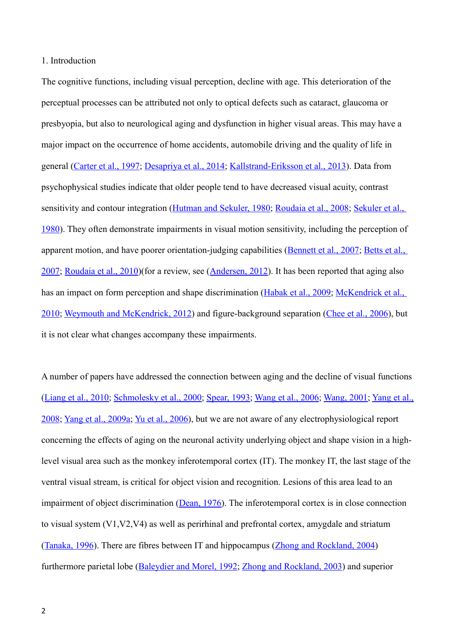## 1. Introduction

The cognitive functions, including visual perception, decline with age. This deterioration of the perceptual processes can be attributed not only to optical defects such as cataract, glaucoma or presbyopia, but also to neurological aging and dysfunction in higher visual areas. This may have a major impact on the occurrence of home accidents, automobile driving and the quality of life in general [\(Carter et al., 1997;](#page-17-7) [Desapriya et al., 2014;](#page-17-6) [Kallstrand-Eriksson et al., 2013\)](#page-18-2). Data from psychophysical studies indicate that older people tend to have decreased visual acuity, contrast sensitivity and contour integration [\(Hutman and Sekuler, 1980;](#page-18-1) [Roudaia et al., 2008;](#page-19-2) [Sekuler et al.,](#page-20-5)  [1980\)](#page-20-5). They often demonstrate impairments in visual motion sensitivity, including the perception of apparent motion, and have poorer orientation-judging capabilities [\(Bennett et al., 2007;](#page-17-5) [Betts et al.,](#page-17-4)  [2007;](#page-17-4) [Roudaia et al., 2010\)](#page-20-4)(for a review, see [\(Andersen, 2012\)](#page-17-3). It has been reported that aging also has an impact on form perception and shape discrimination [\(Habak et al., 2009;](#page-18-0) McKendrick et al., [2010;](#page-19-1) [Weymouth and McKendrick, 2012\)](#page-21-6) and figure-background separation [\(Chee et al., 2006\)](#page-17-2), but it is not clear what changes accompany these impairments.

A number of papers have addressed the connection between aging and the decline of visual functions [\(Liang et al., 2010;](#page-19-0) [Schmolesky et al., 2000;](#page-20-3) [Spear, 1993;](#page-20-2) [Wang et al., 2006;](#page-20-1) [Wang, 2001;](#page-21-5) [Yang et al.,](#page-21-4) [2008;](#page-21-4) [Yang et al., 2009a;](#page-21-3) [Yu et al., 2006\)](#page-21-2), but we are not aware of any electrophysiological report concerning the effects of aging on the neuronal activity underlying object and shape vision in a highlevel visual area such as the monkey inferotemporal cortex (IT). The monkey IT, the last stage of the ventral visual stream, is critical for object vision and recognition. Lesions of this area lead to an impairment of object discrimination [\(Dean, 1976\)](#page-17-1). The inferotemporal cortex is in close connection to visual system (V1,V2,V4) as well as perirhinal and prefrontal cortex, amygdale and striatum [\(Tanaka, 1996\)](#page-20-0). There are fibres between IT and hippocampus [\(Zhong and Rockland, 2004\)](#page-21-1) furthermore parietal lobe [\(Baleydier and Morel, 1992;](#page-17-0) [Zhong and Rockland, 2003\)](#page-21-0) and superior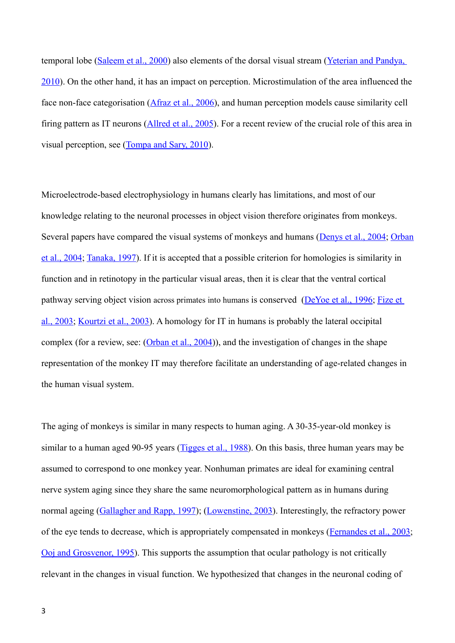temporal lobe [\(Saleem et al., 2000\)](#page-20-9) also elements of the dorsal visual stream (Yeterian and Pandya, [2010\)](#page-21-7). On the other hand, it has an impact on perception. Microstimulation of the area influenced the face non-face categorisation [\(Afraz et al., 2006\)](#page-17-11), and human perception models cause similarity cell firing pattern as IT neurons [\(Allred et al., 2005\)](#page-17-10). For a recent review of the crucial role of this area in visual perception, see [\(Tompa and Sary, 2010\)](#page-20-8).

Microelectrode-based electrophysiology in humans clearly has limitations, and most of our knowledge relating to the neuronal processes in object vision therefore originates from monkeys. Several papers have compared the visual systems of monkeys and humans [\(Denys et al., 2004;](#page-17-9) [Orban](#page-19-5) [et al., 2004;](#page-19-5) [Tanaka, 1997\)](#page-20-7). If it is accepted that a possible criterion for homologies is similarity in function and in retinotopy in the particular visual areas, then it is clear that the ventral cortical pathway serving object vision across primates into humans is conserved [\(DeYoe et al., 1996;](#page-17-8) [Fize et](#page-18-6)  [al., 2003;](#page-18-6) [Kourtzi et al., 2003\)](#page-18-5). A homology for IT in humans is probably the lateral occipital complex (for a review, see: [\(Orban et al., 2004\)](#page-19-5)), and the investigation of changes in the shape representation of the monkey IT may therefore facilitate an understanding of age-related changes in the human visual system.

The aging of monkeys is similar in many respects to human aging. A 30-35-year-old monkey is similar to a human aged 90-95 years [\(Tigges et al., 1988\)](#page-20-6). On this basis, three human years may be assumed to correspond to one monkey year. Nonhuman primates are ideal for examining central nerve system aging since they share the same neuromorphological pattern as in humans during normal ageing [\(Gallagher and Rapp, 1997\)](#page-18-4); [\(Lowenstine, 2003\)](#page-19-4). Interestingly, the refractory power of the eye tends to decrease, which is appropriately compensated in monkeys [\(Fernandes et al., 2003;](#page-18-3) [Ooj and Grosvenor, 1995\)](#page-19-3). This supports the assumption that ocular pathology is not critically relevant in the changes in visual function. We hypothesized that changes in the neuronal coding of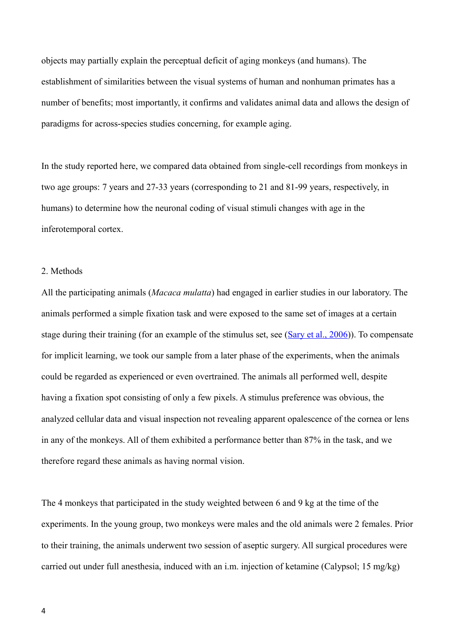objects may partially explain the perceptual deficit of aging monkeys (and humans). The establishment of similarities between the visual systems of human and nonhuman primates has a number of benefits; most importantly, it confirms and validates animal data and allows the design of paradigms for across-species studies concerning, for example aging.

In the study reported here, we compared data obtained from single-cell recordings from monkeys in two age groups: 7 years and 27-33 years (corresponding to 21 and 81-99 years, respectively, in humans) to determine how the neuronal coding of visual stimuli changes with age in the inferotemporal cortex.

## 2. Methods

All the participating animals (*Macaca mulatta*) had engaged in earlier studies in our laboratory. The animals performed a simple fixation task and were exposed to the same set of images at a certain stage during their training (for an example of the stimulus set, see [\(Sary et al., 2006\)](#page-20-10)). To compensate for implicit learning, we took our sample from a later phase of the experiments, when the animals could be regarded as experienced or even overtrained. The animals all performed well, despite having a fixation spot consisting of only a few pixels. A stimulus preference was obvious, the analyzed cellular data and visual inspection not revealing apparent opalescence of the cornea or lens in any of the monkeys. All of them exhibited a performance better than 87% in the task, and we therefore regard these animals as having normal vision.

The 4 monkeys that participated in the study weighted between 6 and 9 kg at the time of the experiments. In the young group, two monkeys were males and the old animals were 2 females. Prior to their training, the animals underwent two session of aseptic surgery. All surgical procedures were carried out under full anesthesia, induced with an i.m. injection of ketamine (Calypsol; 15 mg/kg)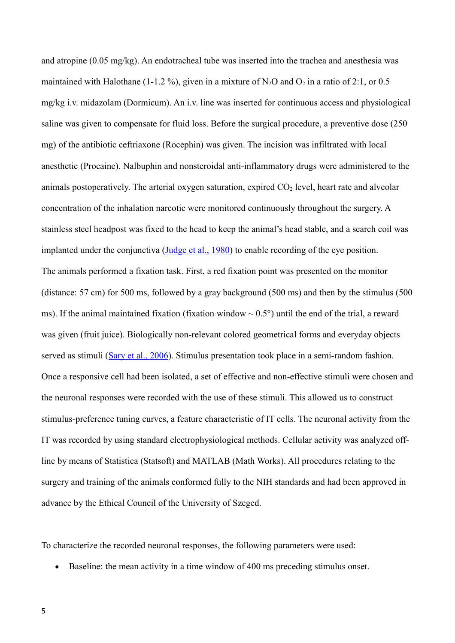and atropine (0.05 mg/kg). An endotracheal tube was inserted into the trachea and anesthesia was maintained with Halothane (1-1.2 %), given in a mixture of N<sub>2</sub>O and O<sub>2</sub> in a ratio of 2:1, or 0.5 mg/kg i.v. midazolam (Dormicum). An i.v. line was inserted for continuous access and physiological saline was given to compensate for fluid loss. Before the surgical procedure, a preventive dose (250 mg) of the antibiotic ceftriaxone (Rocephin) was given. The incision was infiltrated with local anesthetic (Procaine). Nalbuphin and nonsteroidal anti-inflammatory drugs were administered to the animals postoperatively. The arterial oxygen saturation, expired  $CO<sub>2</sub>$  level, heart rate and alveolar concentration of the inhalation narcotic were monitored continuously throughout the surgery. A stainless steel headpost was fixed to the head to keep the animal's head stable, and a search coil was implanted under the conjunctiva [\(Judge et al., 1980\)](#page-18-7) to enable recording of the eye position. The animals performed a fixation task. First, a red fixation point was presented on the monitor (distance: 57 cm) for 500 ms, followed by a gray background (500 ms) and then by the stimulus (500 ms). If the animal maintained fixation (fixation window  $\sim 0.5^{\circ}$ ) until the end of the trial, a reward was given (fruit juice). Biologically non-relevant colored geometrical forms and everyday objects served as stimuli [\(Sary et al., 2006\)](#page-20-10). Stimulus presentation took place in a semi-random fashion. Once a responsive cell had been isolated, a set of effective and non-effective stimuli were chosen and the neuronal responses were recorded with the use of these stimuli. This allowed us to construct stimulus-preference tuning curves, a feature characteristic of IT cells. The neuronal activity from the IT was recorded by using standard electrophysiological methods. Cellular activity was analyzed offline by means of Statistica (Statsoft) and MATLAB (Math Works). All procedures relating to the surgery and training of the animals conformed fully to the NIH standards and had been approved in advance by the Ethical Council of the University of Szeged.

To characterize the recorded neuronal responses, the following parameters were used:

Baseline: the mean activity in a time window of 400 ms preceding stimulus onset.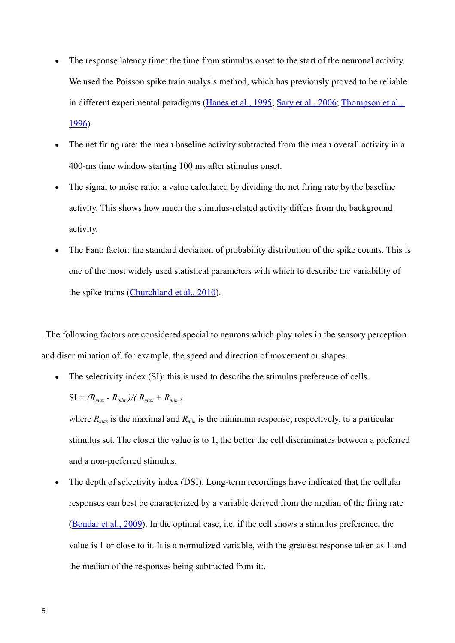- The response latency time: the time from stimulus onset to the start of the neuronal activity. We used the Poisson spike train analysis method, which has previously proved to be reliable in different experimental paradigms [\(Hanes et al., 1995;](#page-18-8) [Sary et al., 2006;](#page-20-10) [Thompson et al.,](#page-20-11)  [1996\)](#page-20-11).
- The net firing rate: the mean baseline activity subtracted from the mean overall activity in a 400-ms time window starting 100 ms after stimulus onset.
- The signal to noise ratio: a value calculated by dividing the net firing rate by the baseline activity. This shows how much the stimulus-related activity differs from the background activity.
- The Fano factor: the standard deviation of probability distribution of the spike counts. This is one of the most widely used statistical parameters with which to describe the variability of the spike trains [\(Churchland et al., 2010\)](#page-17-13).

. The following factors are considered special to neurons which play roles in the sensory perception and discrimination of, for example, the speed and direction of movement or shapes.

• The selectivity index (SI): this is used to describe the stimulus preference of cells.

$$
SI = (R_{max} - R_{min})/(R_{max} + R_{min})
$$

where  $R_{max}$  is the maximal and  $R_{min}$  is the minimum response, respectively, to a particular stimulus set. The closer the value is to 1, the better the cell discriminates between a preferred and a non-preferred stimulus.

 The depth of selectivity index (DSI). Long-term recordings have indicated that the cellular responses can best be characterized by a variable derived from the median of the firing rate [\(Bondar et al., 2009\)](#page-17-12). In the optimal case, i.e. if the cell shows a stimulus preference, the value is 1 or close to it. It is a normalized variable, with the greatest response taken as 1 and the median of the responses being subtracted from it:.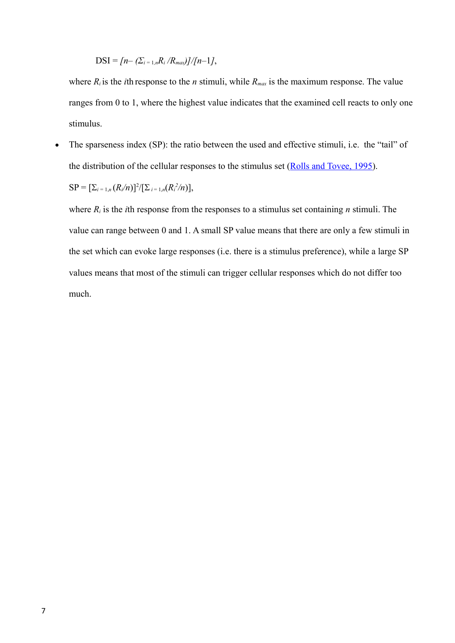## $DSI = [n - (\sum_{i=1,n} R_i/R_{max})]/[n-1],$

where  $R_i$  is the *i*th response to the *n* stimuli, while  $R_{max}$  is the maximum response. The value ranges from 0 to 1, where the highest value indicates that the examined cell reacts to only one stimulus.

• The sparseness index (SP): the ratio between the used and effective stimuli, i.e. the "tail" of the distribution of the cellular responses to the stimulus set [\(Rolls and Tovee, 1995\)](#page-19-6).

$$
SP = [\sum_{i=1,n} (R_i/n)]^2/[\sum_{i=1,n} (R_i^2/n)],
$$

where  $R_i$  is the *i*th response from the responses to a stimulus set containing *n* stimuli. The value can range between 0 and 1. A small SP value means that there are only a few stimuli in the set which can evoke large responses (i.e. there is a stimulus preference), while a large SP values means that most of the stimuli can trigger cellular responses which do not differ too much.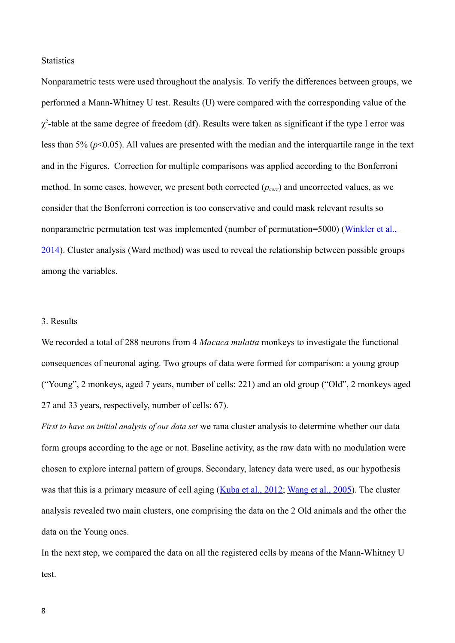**Statistics** 

Nonparametric tests were used throughout the analysis. To verify the differences between groups, we performed a Mann-Whitney U test. Results (U) were compared with the corresponding value of the  $\chi^2$ -table at the same degree of freedom (df). Results were taken as significant if the type I error was less than 5% (*p*<0.05). All values are presented with the median and the interquartile range in the text and in the Figures. Correction for multiple comparisons was applied according to the Bonferroni method. In some cases, however, we present both corrected (*pcorr*) and uncorrected values, as we consider that the Bonferroni correction is too conservative and could mask relevant results so nonparametric permutation test was implemented (number of permutation=5000) (Winkler et al., [2014\)](#page-21-8). Cluster analysis (Ward method) was used to reveal the relationship between possible groups among the variables.

#### 3. Results

We recorded a total of 288 neurons from 4 *Macaca mulatta* monkeys to investigate the functional consequences of neuronal aging. Two groups of data were formed for comparison: a young group ("Young", 2 monkeys, aged 7 years, number of cells: 221) and an old group ("Old", 2 monkeys aged 27 and 33 years, respectively, number of cells: 67).

*First to have an initial analysis of our data set* we rana cluster analysis to determine whether our data form groups according to the age or not. Baseline activity, as the raw data with no modulation were chosen to explore internal pattern of groups. Secondary, latency data were used, as our hypothesis was that this is a primary measure of cell aging [\(Kuba et al., 2012;](#page-18-9) [Wang et al., 2005\)](#page-20-12). The cluster analysis revealed two main clusters, one comprising the data on the 2 Old animals and the other the data on the Young ones.

In the next step, we compared the data on all the registered cells by means of the Mann-Whitney U test.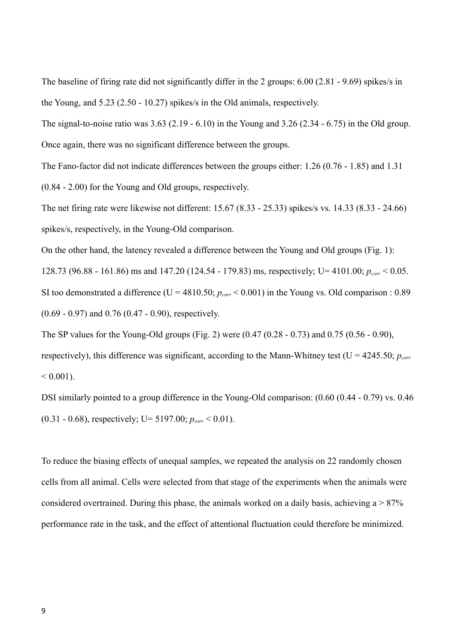The baseline of firing rate did not significantly differ in the 2 groups: 6.00 (2.81 - 9.69) spikes/s in the Young, and 5.23 (2.50 - 10.27) spikes/s in the Old animals, respectively.

The signal-to-noise ratio was 3.63 (2.19 - 6.10) in the Young and 3.26 (2.34 - 6.75) in the Old group. Once again, there was no significant difference between the groups.

The Fano-factor did not indicate differences between the groups either: 1.26 (0.76 - 1.85) and 1.31 (0.84 - 2.00) for the Young and Old groups, respectively.

The net firing rate were likewise not different: 15.67 (8.33 - 25.33) spikes/s vs. 14.33 (8.33 - 24.66) spikes/s, respectively, in the Young-Old comparison.

On the other hand, the latency revealed a difference between the Young and Old groups (Fig. 1): 128.73 (96.88 - 161.86) ms and 147.20 (124.54 - 179.83) ms, respectively; U= 4101.00; *pcorr* < 0.05. SI too demonstrated a difference (U =  $4810.50$ ;  $p_{corr}$  < 0.001) in the Young vs. Old comparison : 0.89 (0.69 - 0.97) and 0.76 (0.47 - 0.90), respectively.

The SP values for the Young-Old groups (Fig. 2) were (0.47 (0.28 - 0.73) and 0.75 (0.56 - 0.90), respectively), this difference was significant, according to the Mann-Whitney test ( $U = 4245.50$ ;  $p_{corr}$  $< 0.001$ ).

DSI similarly pointed to a group difference in the Young-Old comparison: (0.60 (0.44 - 0.79) vs. 0.46 (0.31 - 0.68), respectively; U= 5197.00; *pcorr* < 0.01).

To reduce the biasing effects of unequal samples, we repeated the analysis on 22 randomly chosen cells from all animal. Cells were selected from that stage of the experiments when the animals were considered overtrained. During this phase, the animals worked on a daily basis, achieving  $a > 87\%$ performance rate in the task, and the effect of attentional fluctuation could therefore be minimized.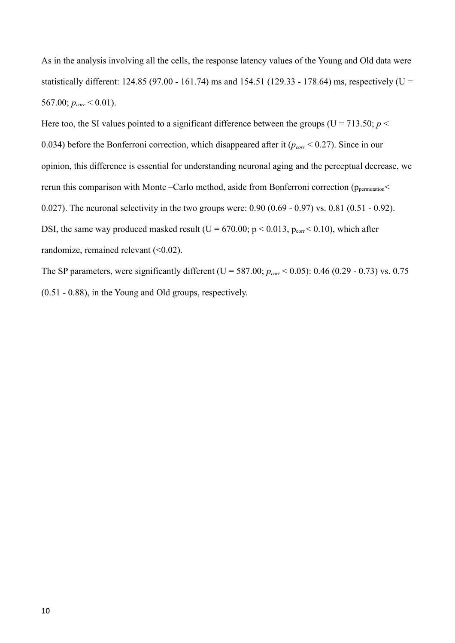As in the analysis involving all the cells, the response latency values of the Young and Old data were statistically different: 124.85 (97.00 - 161.74) ms and 154.51 (129.33 - 178.64) ms, respectively (U = 567.00;  $p_{corr}$  < 0.01).

Here too, the SI values pointed to a significant difference between the groups ( $U = 713.50$ ;  $p <$ 0.034) before the Bonferroni correction, which disappeared after it (*pcorr* < 0.27). Since in our opinion, this difference is essential for understanding neuronal aging and the perceptual decrease, we rerun this comparison with Monte –Carlo method, aside from Bonferroni correction (p<sub>permutation</sub> 0.027). The neuronal selectivity in the two groups were: 0.90 (0.69 - 0.97) vs. 0.81 (0.51 - 0.92). DSI, the same way produced masked result ( $U = 670.00$ ;  $p < 0.013$ ,  $p_{corr} < 0.10$ ), which after randomize, remained relevant  $($ <0.02).

The SP parameters, were significantly different (U = 587.00; *pcor*r < 0.05): 0.46 (0.29 - 0.73) vs. 0.75 (0.51 - 0.88), in the Young and Old groups, respectively.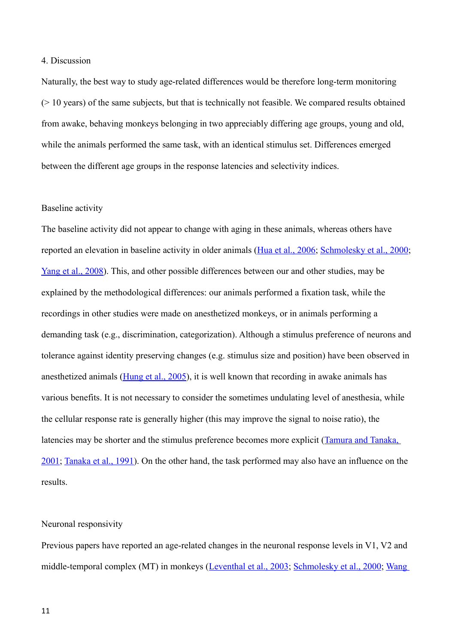## 4. Discussion

Naturally, the best way to study age-related differences would be therefore long-term monitoring  $($   $>$  10 years) of the same subjects, but that is technically not feasible. We compared results obtained from awake, behaving monkeys belonging in two appreciably differing age groups, young and old, while the animals performed the same task, with an identical stimulus set. Differences emerged between the different age groups in the response latencies and selectivity indices.

#### Baseline activity

The baseline activity did not appear to change with aging in these animals, whereas others have reported an elevation in baseline activity in older animals [\(Hua et al., 2006;](#page-18-11) [Schmolesky et al., 2000;](#page-20-3) [Yang et al., 2008\)](#page-21-4). This, and other possible differences between our and other studies, may be explained by the methodological differences: our animals performed a fixation task, while the recordings in other studies were made on anesthetized monkeys, or in animals performing a demanding task (e.g., discrimination, categorization). Although a stimulus preference of neurons and tolerance against identity preserving changes (e.g. stimulus size and position) have been observed in anesthetized animals [\(Hung et al., 2005\)](#page-18-10), it is well known that recording in awake animals has various benefits. It is not necessary to consider the sometimes undulating level of anesthesia, while the cellular response rate is generally higher (this may improve the signal to noise ratio), the latencies may be shorter and the stimulus preference becomes more explicit [\(Tamura and Tanaka,](#page-20-14)  [2001;](#page-20-14) [Tanaka et al., 1991\)](#page-20-13). On the other hand, the task performed may also have an influence on the results.

## Neuronal responsivity

Previous papers have reported an age-related changes in the neuronal response levels in V1, V2 and middle-temporal complex (MT) in monkeys [\(Leventhal et al., 2003;](#page-19-7) [Schmolesky et al., 2000;](#page-20-3) [Wang](#page-20-12)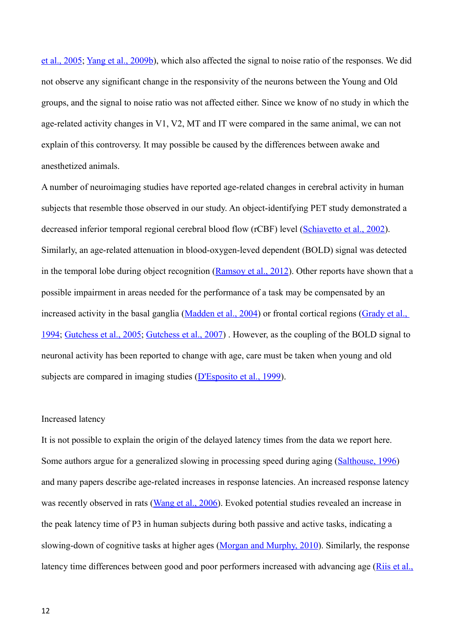[et al., 2005;](#page-20-12) [Yang et al., 2009b\)](#page-21-9), which also affected the signal to noise ratio of the responses. We did not observe any significant change in the responsivity of the neurons between the Young and Old groups, and the signal to noise ratio was not affected either. Since we know of no study in which the age-related activity changes in V1, V2, MT and IT were compared in the same animal, we can not explain of this controversy. It may possible be caused by the differences between awake and anesthetized animals.

A number of neuroimaging studies have reported age-related changes in cerebral activity in human subjects that resemble those observed in our study. An object-identifying PET study demonstrated a decreased inferior temporal regional cerebral blood flow (rCBF) level [\(Schiavetto et al., 2002\)](#page-20-16). Similarly, an age-related attenuation in blood-oxygen-leved dependent (BOLD) signal was detected in the temporal lobe during object recognition [\(Ramsoy et al., 2012\)](#page-19-11). Other reports have shown that a possible impairment in areas needed for the performance of a task may be compensated by an increased activity in the basal ganglia [\(Madden et al., 2004\)](#page-19-10) or frontal cortical regions [\(Grady et al.,](#page-18-14)  [1994;](#page-18-14) [Gutchess et al., 2005;](#page-18-13) [Gutchess et al., 2007\)](#page-18-12) . However, as the coupling of the BOLD signal to neuronal activity has been reported to change with age, care must be taken when young and old subjects are compared in imaging studies [\(D'Esposito et al., 1999\)](#page-17-14).

## Increased latency

It is not possible to explain the origin of the delayed latency times from the data we report here. Some authors argue for a generalized slowing in processing speed during aging [\(Salthouse, 1996\)](#page-20-15) and many papers describe age-related increases in response latencies. An increased response latency was recently observed in rats [\(Wang et al., 2006\)](#page-20-1). Evoked potential studies revealed an increase in the peak latency time of P3 in human subjects during both passive and active tasks, indicating a slowing-down of cognitive tasks at higher ages [\(Morgan and Murphy, 2010\)](#page-19-9). Similarly, the response latency time differences between good and poor performers increased with advancing age [\(Riis et al.,](#page-19-8)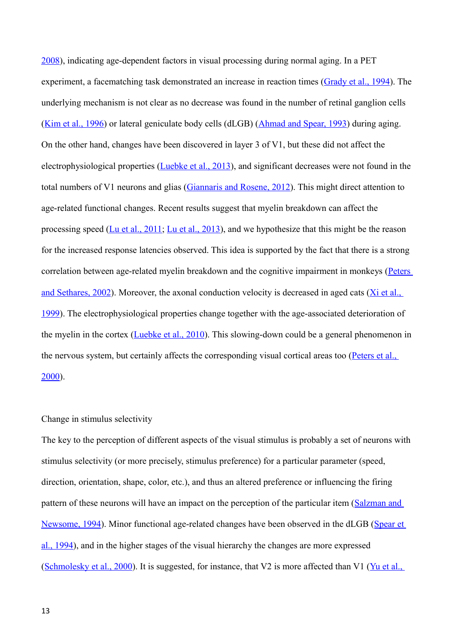[2008\)](#page-19-8), indicating age-dependent factors in visual processing during normal aging. In a PET experiment, a facematching task demonstrated an increase in reaction times [\(Grady et al., 1994\)](#page-18-14). The underlying mechanism is not clear as no decrease was found in the number of retinal ganglion cells [\(Kim et al., 1996\)](#page-18-16) or lateral geniculate body cells (dLGB) [\(Ahmad and Spear, 1993\)](#page-17-15) during aging. On the other hand, changes have been discovered in layer 3 of V1, but these did not affect the electrophysiological properties [\(Luebke et al., 2013\)](#page-19-17), and significant decreases were not found in the total numbers of V1 neurons and glias [\(Giannaris and Rosene, 2012\)](#page-18-15). This might direct attention to age-related functional changes. Recent results suggest that myelin breakdown can affect the processing speed [\(Lu et al., 2011;](#page-19-16) [Lu et al., 2013\)](#page-19-15), and we hypothesize that this might be the reason for the increased response latencies observed. This idea is supported by the fact that there is a strong correlation between age-related myelin breakdown and the cognitive impairment in monkeys [\(Peters](#page-19-14)  and Sethares,  $2002$ ). Moreover, the axonal conduction velocity is decreased in aged cats ( $X$ i et al., [1999\)](#page-21-10). The electrophysiological properties change together with the age-associated deterioration of the myelin in the cortex [\(Luebke et al., 2010\)](#page-19-13). This slowing-down could be a general phenomenon in the nervous system, but certainly affects the corresponding visual cortical areas too (Peters et al., [2000\)](#page-19-12).

## Change in stimulus selectivity

The key to the perception of different aspects of the visual stimulus is probably a set of neurons with stimulus selectivity (or more precisely, stimulus preference) for a particular parameter (speed, direction, orientation, shape, color, etc.), and thus an altered preference or influencing the firing pattern of these neurons will have an impact on the perception of the particular item (Salzman and [Newsome, 1994\)](#page-20-18). Minor functional age-related changes have been observed in the dLGB [\(Spear et](#page-20-17)  [al., 1994\)](#page-20-17), and in the higher stages of the visual hierarchy the changes are more expressed [\(Schmolesky et al., 2000\)](#page-20-3). It is suggested, for instance, that V2 is more affected than V1 [\(Yu et al.,](#page-21-2)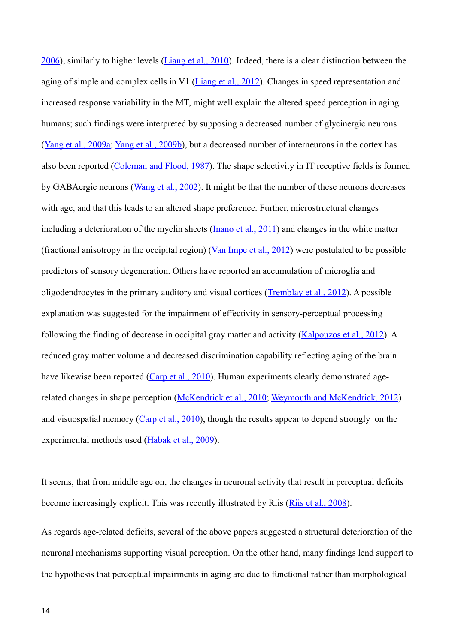[2006\)](#page-21-2), similarly to higher levels [\(Liang et al., 2010\)](#page-19-0). Indeed, there is a clear distinction between the aging of simple and complex cells in V1 [\(Liang et al., 2012\)](#page-19-18). Changes in speed representation and increased response variability in the MT, might well explain the altered speed perception in aging humans; such findings were interpreted by supposing a decreased number of glycinergic neurons [\(Yang et al., 2009a;](#page-21-3) [Yang et al., 2009b\)](#page-21-9), but a decreased number of interneurons in the cortex has also been reported [\(Coleman and Flood, 1987\)](#page-17-17). The shape selectivity in IT receptive fields is formed by GABAergic neurons [\(Wang et al., 2002\)](#page-20-21). It might be that the number of these neurons decreases with age, and that this leads to an altered shape preference. Further, microstructural changes including a deterioration of the myelin sheets [\(Inano et al., 2011\)](#page-18-18) and changes in the white matter (fractional anisotropy in the occipital region) [\(Van Impe et al., 2012\)](#page-20-20) were postulated to be possible predictors of sensory degeneration. Others have reported an accumulation of microglia and oligodendrocytes in the primary auditory and visual cortices [\(Tremblay et al., 2012\)](#page-20-19). A possible explanation was suggested for the impairment of effectivity in sensory-perceptual processing following the finding of decrease in occipital gray matter and activity [\(Kalpouzos et al., 2012\)](#page-18-17). A reduced gray matter volume and decreased discrimination capability reflecting aging of the brain have likewise been reported [\(Carp et al., 2010\)](#page-17-16). Human experiments clearly demonstrated agerelated changes in shape perception [\(McKendrick et al., 2010;](#page-19-1) [Weymouth and McKendrick, 2012\)](#page-21-6) and visuospatial memory [\(Carp et al., 2010\)](#page-17-16), though the results appear to depend strongly on the experimental methods used [\(Habak et al., 2009\)](#page-18-0).

It seems, that from middle age on, the changes in neuronal activity that result in perceptual deficits become increasingly explicit. This was recently illustrated by Riis [\(Riis et al., 2008\)](#page-19-8).

As regards age-related deficits, several of the above papers suggested a structural deterioration of the neuronal mechanisms supporting visual perception. On the other hand, many findings lend support to the hypothesis that perceptual impairments in aging are due to functional rather than morphological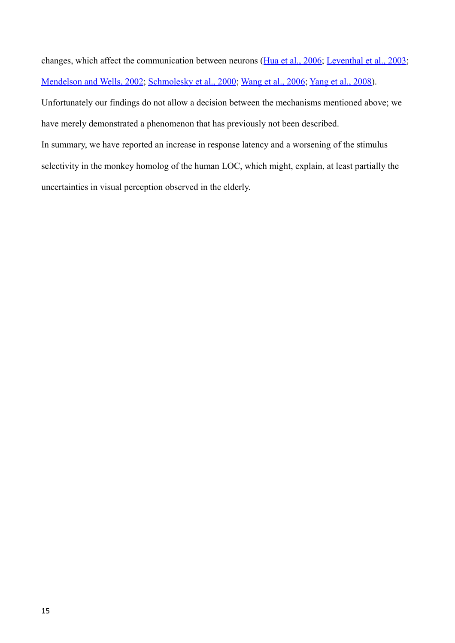changes, which affect the communication between neurons [\(Hua et al., 2006;](#page-18-11) [Leventhal et al., 2003;](#page-19-7) [Mendelson and Wells, 2002;](#page-19-19) [Schmolesky et al., 2000;](#page-20-3) [Wang et al., 2006;](#page-20-1) [Yang et al., 2008\)](#page-21-4).

Unfortunately our findings do not allow a decision between the mechanisms mentioned above; we have merely demonstrated a phenomenon that has previously not been described.

In summary, we have reported an increase in response latency and a worsening of the stimulus selectivity in the monkey homolog of the human LOC, which might, explain, at least partially the uncertainties in visual perception observed in the elderly.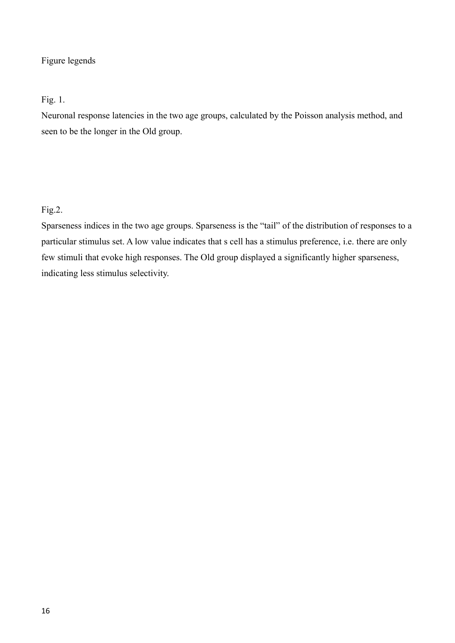## Figure legends

## Fig. 1.

Neuronal response latencies in the two age groups, calculated by the Poisson analysis method, and seen to be the longer in the Old group.

# Fig.2.

Sparseness indices in the two age groups. Sparseness is the "tail" of the distribution of responses to a particular stimulus set. A low value indicates that s cell has a stimulus preference, i.e. there are only few stimuli that evoke high responses. The Old group displayed a significantly higher sparseness, indicating less stimulus selectivity.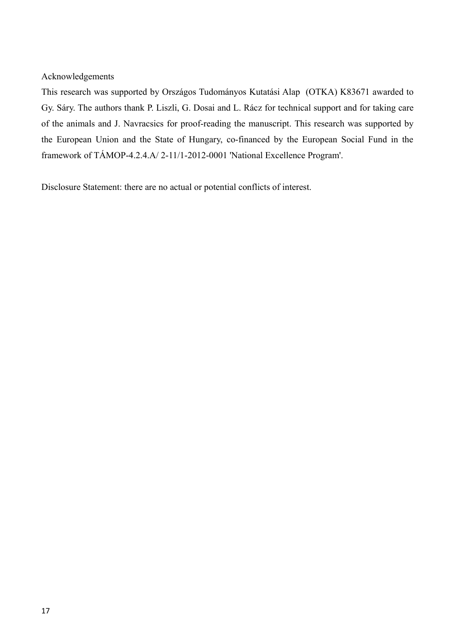Acknowledgements

This research was supported by Országos Tudományos Kutatási Alap (OTKA) K83671 awarded to Gy. Sáry. The authors thank P. Liszli, G. Dosai and L. Rácz for technical support and for taking care of the animals and J. Navracsics for proof-reading the manuscript. This research was supported by the European Union and the State of Hungary, co-financed by the European Social Fund in the framework of TÁMOP-4.2.4.A/ 2-11/1-2012-0001 'National Excellence Program'.

Disclosure Statement: there are no actual or potential conflicts of interest.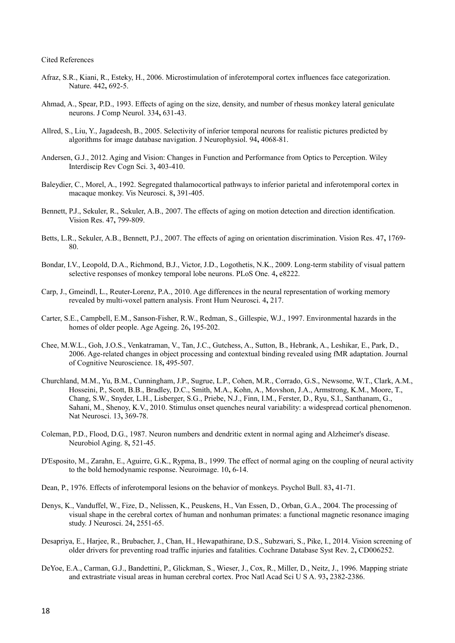Cited References

- <span id="page-17-11"></span>Afraz, S.R., Kiani, R., Esteky, H., 2006. Microstimulation of inferotemporal cortex influences face categorization. Nature. 442**,** 692-5.
- <span id="page-17-15"></span>Ahmad, A., Spear, P.D., 1993. Effects of aging on the size, density, and number of rhesus monkey lateral geniculate neurons. J Comp Neurol. 334**,** 631-43.
- <span id="page-17-10"></span>Allred, S., Liu, Y., Jagadeesh, B., 2005. Selectivity of inferior temporal neurons for realistic pictures predicted by algorithms for image database navigation. J Neurophysiol. 94**,** 4068-81.
- <span id="page-17-3"></span>Andersen, G.J., 2012. Aging and Vision: Changes in Function and Performance from Optics to Perception. Wiley Interdiscip Rev Cogn Sci. 3**,** 403-410.
- <span id="page-17-0"></span>Baleydier, C., Morel, A., 1992. Segregated thalamocortical pathways to inferior parietal and inferotemporal cortex in macaque monkey. Vis Neurosci. 8**,** 391-405.
- <span id="page-17-5"></span>Bennett, P.J., Sekuler, R., Sekuler, A.B., 2007. The effects of aging on motion detection and direction identification. Vision Res. 47**,** 799-809.
- <span id="page-17-4"></span>Betts, L.R., Sekuler, A.B., Bennett, P.J., 2007. The effects of aging on orientation discrimination. Vision Res. 47**,** 1769- 80.
- <span id="page-17-12"></span>Bondar, I.V., Leopold, D.A., Richmond, B.J., Victor, J.D., Logothetis, N.K., 2009. Long-term stability of visual pattern selective responses of monkey temporal lobe neurons. PLoS One. 4**,** e8222.
- <span id="page-17-16"></span>Carp, J., Gmeindl, L., Reuter-Lorenz, P.A., 2010. Age differences in the neural representation of working memory revealed by multi-voxel pattern analysis. Front Hum Neurosci. 4**,** 217.
- <span id="page-17-7"></span>Carter, S.E., Campbell, E.M., Sanson-Fisher, R.W., Redman, S., Gillespie, W.J., 1997. Environmental hazards in the homes of older people. Age Ageing. 26**,** 195-202.
- <span id="page-17-2"></span>Chee, M.W.L., Goh, J.O.S., Venkatraman, V., Tan, J.C., Gutchess, A., Sutton, B., Hebrank, A., Leshikar, E., Park, D., 2006. Age-related changes in object processing and contextual binding revealed using fMR adaptation. Journal of Cognitive Neuroscience. 18**,** 495-507.
- <span id="page-17-13"></span>Churchland, M.M., Yu, B.M., Cunningham, J.P., Sugrue, L.P., Cohen, M.R., Corrado, G.S., Newsome, W.T., Clark, A.M., Hosseini, P., Scott, B.B., Bradley, D.C., Smith, M.A., Kohn, A., Movshon, J.A., Armstrong, K.M., Moore, T., Chang, S.W., Snyder, L.H., Lisberger, S.G., Priebe, N.J., Finn, I.M., Ferster, D., Ryu, S.I., Santhanam, G., Sahani, M., Shenoy, K.V., 2010. Stimulus onset quenches neural variability: a widespread cortical phenomenon. Nat Neurosci. 13**,** 369-78.
- <span id="page-17-17"></span>Coleman, P.D., Flood, D.G., 1987. Neuron numbers and dendritic extent in normal aging and Alzheimer's disease. Neurobiol Aging. 8**,** 521-45.
- <span id="page-17-14"></span>D'Esposito, M., Zarahn, E., Aguirre, G.K., Rypma, B., 1999. The effect of normal aging on the coupling of neural activity to the bold hemodynamic response. Neuroimage. 10**,** 6-14.
- <span id="page-17-1"></span>Dean, P., 1976. Effects of inferotemporal lesions on the behavior of monkeys. Psychol Bull. 83**,** 41-71.
- <span id="page-17-9"></span>Denys, K., Vanduffel, W., Fize, D., Nelissen, K., Peuskens, H., Van Essen, D., Orban, G.A., 2004. The processing of visual shape in the cerebral cortex of human and nonhuman primates: a functional magnetic resonance imaging study. J Neurosci. 24**,** 2551-65.
- <span id="page-17-6"></span>Desapriya, E., Harjee, R., Brubacher, J., Chan, H., Hewapathirane, D.S., Subzwari, S., Pike, I., 2014. Vision screening of older drivers for preventing road traffic injuries and fatalities. Cochrane Database Syst Rev. 2**,** CD006252.
- <span id="page-17-8"></span>DeYoe, E.A., Carman, G.J., Bandettini, P., Glickman, S., Wieser, J., Cox, R., Miller, D., Neitz, J., 1996. Mapping striate and extrastriate visual areas in human cerebral cortex. Proc Natl Acad Sci U S A. 93**,** 2382-2386.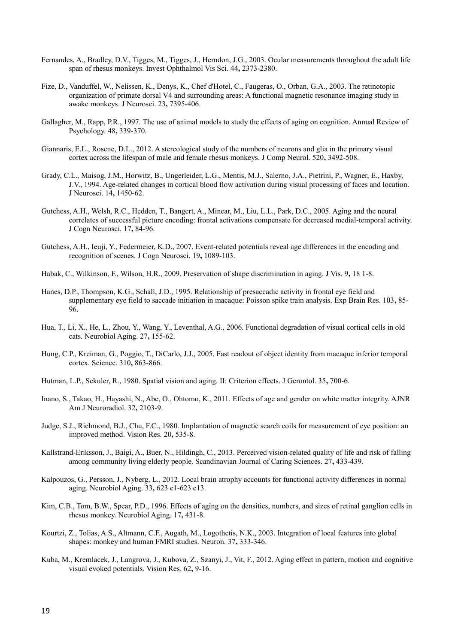- <span id="page-18-3"></span>Fernandes, A., Bradley, D.V., Tigges, M., Tigges, J., Herndon, J.G., 2003. Ocular measurements throughout the adult life span of rhesus monkeys. Invest Ophthalmol Vis Sci. 44**,** 2373-2380.
- <span id="page-18-6"></span>Fize, D., Vanduffel, W., Nelissen, K., Denys, K., Chef d'Hotel, C., Faugeras, O., Orban, G.A., 2003. The retinotopic organization of primate dorsal V4 and surrounding areas: A functional magnetic resonance imaging study in awake monkeys. J Neurosci. 23**,** 7395-406.
- <span id="page-18-4"></span>Gallagher, M., Rapp, P.R., 1997. The use of animal models to study the effects of aging on cognition. Annual Review of Psychology. 48**,** 339-370.
- <span id="page-18-15"></span>Giannaris, E.L., Rosene, D.L., 2012. A stereological study of the numbers of neurons and glia in the primary visual cortex across the lifespan of male and female rhesus monkeys. J Comp Neurol. 520**,** 3492-508.
- <span id="page-18-14"></span>Grady, C.L., Maisog, J.M., Horwitz, B., Ungerleider, L.G., Mentis, M.J., Salerno, J.A., Pietrini, P., Wagner, E., Haxby, J.V., 1994. Age-related changes in cortical blood flow activation during visual processing of faces and location. J Neurosci. 14**,** 1450-62.
- <span id="page-18-13"></span>Gutchess, A.H., Welsh, R.C., Hedden, T., Bangert, A., Minear, M., Liu, L.L., Park, D.C., 2005. Aging and the neural correlates of successful picture encoding: frontal activations compensate for decreased medial-temporal activity. J Cogn Neurosci. 17**,** 84-96.
- <span id="page-18-12"></span>Gutchess, A.H., Ieuji, Y., Federmeier, K.D., 2007. Event-related potentials reveal age differences in the encoding and recognition of scenes. J Cogn Neurosci. 19**,** 1089-103.
- <span id="page-18-0"></span>Habak, C., Wilkinson, F., Wilson, H.R., 2009. Preservation of shape discrimination in aging. J Vis. 9**,** 18 1-8.
- <span id="page-18-8"></span>Hanes, D.P., Thompson, K.G., Schall, J.D., 1995. Relationship of presaccadic activity in frontal eye field and supplementary eye field to saccade initiation in macaque: Poisson spike train analysis. Exp Brain Res. 103**,** 85- 96.
- <span id="page-18-11"></span>Hua, T., Li, X., He, L., Zhou, Y., Wang, Y., Leventhal, A.G., 2006. Functional degradation of visual cortical cells in old cats. Neurobiol Aging. 27**,** 155-62.
- <span id="page-18-10"></span>Hung, C.P., Kreiman, G., Poggio, T., DiCarlo, J.J., 2005. Fast readout of object identity from macaque inferior temporal cortex. Science. 310**,** 863-866.
- <span id="page-18-1"></span>Hutman, L.P., Sekuler, R., 1980. Spatial vision and aging. II: Criterion effects. J Gerontol. 35**,** 700-6.
- <span id="page-18-18"></span>Inano, S., Takao, H., Hayashi, N., Abe, O., Ohtomo, K., 2011. Effects of age and gender on white matter integrity. AJNR Am J Neuroradiol. 32**,** 2103-9.
- <span id="page-18-7"></span>Judge, S.J., Richmond, B.J., Chu, F.C., 1980. Implantation of magnetic search coils for measurement of eye position: an improved method. Vision Res. 20**,** 535-8.
- <span id="page-18-2"></span>Kallstrand-Eriksson, J., Baigi, A., Buer, N., Hildingh, C., 2013. Perceived vision-related quality of life and risk of falling among community living elderly people. Scandinavian Journal of Caring Sciences. 27**,** 433-439.
- <span id="page-18-17"></span>Kalpouzos, G., Persson, J., Nyberg, L., 2012. Local brain atrophy accounts for functional activity differences in normal aging. Neurobiol Aging. 33**,** 623 e1-623 e13.
- <span id="page-18-16"></span>Kim, C.B., Tom, B.W., Spear, P.D., 1996. Effects of aging on the densities, numbers, and sizes of retinal ganglion cells in rhesus monkey. Neurobiol Aging. 17**,** 431-8.
- <span id="page-18-5"></span>Kourtzi, Z., Tolias, A.S., Altmann, C.F., Augath, M., Logothetis, N.K., 2003. Integration of local features into global shapes: monkey and human FMRI studies. Neuron. 37**,** 333-346.
- <span id="page-18-9"></span>Kuba, M., Kremlacek, J., Langrova, J., Kubova, Z., Szanyi, J., Vit, F., 2012. Aging effect in pattern, motion and cognitive visual evoked potentials. Vision Res. 62**,** 9-16.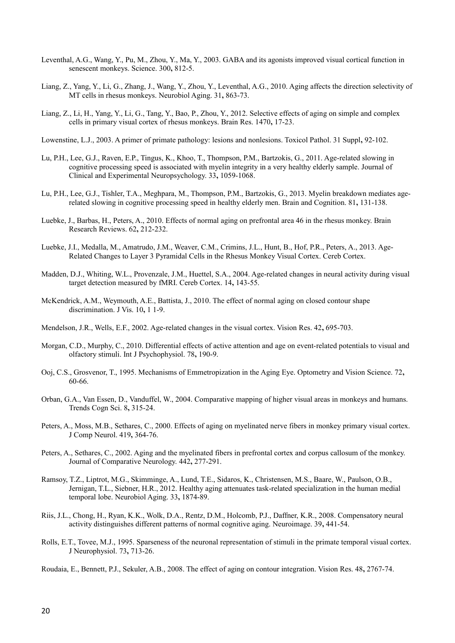- <span id="page-19-7"></span>Leventhal, A.G., Wang, Y., Pu, M., Zhou, Y., Ma, Y., 2003. GABA and its agonists improved visual cortical function in senescent monkeys. Science. 300**,** 812-5.
- <span id="page-19-0"></span>Liang, Z., Yang, Y., Li, G., Zhang, J., Wang, Y., Zhou, Y., Leventhal, A.G., 2010. Aging affects the direction selectivity of MT cells in rhesus monkeys. Neurobiol Aging. 31**,** 863-73.
- <span id="page-19-18"></span>Liang, Z., Li, H., Yang, Y., Li, G., Tang, Y., Bao, P., Zhou, Y., 2012. Selective effects of aging on simple and complex cells in primary visual cortex of rhesus monkeys. Brain Res. 1470**,** 17-23.
- <span id="page-19-4"></span>Lowenstine, L.J., 2003. A primer of primate pathology: lesions and nonlesions. Toxicol Pathol. 31 Suppl**,** 92-102.
- <span id="page-19-16"></span>Lu, P.H., Lee, G.J., Raven, E.P., Tingus, K., Khoo, T., Thompson, P.M., Bartzokis, G., 2011. Age-related slowing in cognitive processing speed is associated with myelin integrity in a very healthy elderly sample. Journal of Clinical and Experimental Neuropsychology. 33**,** 1059-1068.
- <span id="page-19-15"></span>Lu, P.H., Lee, G.J., Tishler, T.A., Meghpara, M., Thompson, P.M., Bartzokis, G., 2013. Myelin breakdown mediates agerelated slowing in cognitive processing speed in healthy elderly men. Brain and Cognition. 81**,** 131-138.
- <span id="page-19-13"></span>Luebke, J., Barbas, H., Peters, A., 2010. Effects of normal aging on prefrontal area 46 in the rhesus monkey. Brain Research Reviews. 62**,** 212-232.
- <span id="page-19-17"></span>Luebke, J.I., Medalla, M., Amatrudo, J.M., Weaver, C.M., Crimins, J.L., Hunt, B., Hof, P.R., Peters, A., 2013. Age-Related Changes to Layer 3 Pyramidal Cells in the Rhesus Monkey Visual Cortex. Cereb Cortex.
- <span id="page-19-10"></span>Madden, D.J., Whiting, W.L., Provenzale, J.M., Huettel, S.A., 2004. Age-related changes in neural activity during visual target detection measured by fMRI. Cereb Cortex. 14**,** 143-55.
- <span id="page-19-1"></span>McKendrick, A.M., Weymouth, A.E., Battista, J., 2010. The effect of normal aging on closed contour shape discrimination. J Vis. 10**,** 1 1-9.
- <span id="page-19-19"></span>Mendelson, J.R., Wells, E.F., 2002. Age-related changes in the visual cortex. Vision Res. 42**,** 695-703.
- <span id="page-19-9"></span>Morgan, C.D., Murphy, C., 2010. Differential effects of active attention and age on event-related potentials to visual and olfactory stimuli. Int J Psychophysiol. 78**,** 190-9.
- <span id="page-19-3"></span>Ooj, C.S., Grosvenor, T., 1995. Mechanisms of Emmetropization in the Aging Eye. Optometry and Vision Science. 72**,** 60-66.
- <span id="page-19-5"></span>Orban, G.A., Van Essen, D., Vanduffel, W., 2004. Comparative mapping of higher visual areas in monkeys and humans. Trends Cogn Sci. 8**,** 315-24.
- <span id="page-19-12"></span>Peters, A., Moss, M.B., Sethares, C., 2000. Effects of aging on myelinated nerve fibers in monkey primary visual cortex. J Comp Neurol. 419**,** 364-76.
- <span id="page-19-14"></span>Peters, A., Sethares, C., 2002. Aging and the myelinated fibers in prefrontal cortex and corpus callosum of the monkey. Journal of Comparative Neurology. 442**,** 277-291.
- <span id="page-19-11"></span>Ramsoy, T.Z., Liptrot, M.G., Skimminge, A., Lund, T.E., Sidaros, K., Christensen, M.S., Baare, W., Paulson, O.B., Jernigan, T.L., Siebner, H.R., 2012. Healthy aging attenuates task-related specialization in the human medial temporal lobe. Neurobiol Aging. 33**,** 1874-89.
- <span id="page-19-8"></span>Riis, J.L., Chong, H., Ryan, K.K., Wolk, D.A., Rentz, D.M., Holcomb, P.J., Daffner, K.R., 2008. Compensatory neural activity distinguishes different patterns of normal cognitive aging. Neuroimage. 39**,** 441-54.
- <span id="page-19-6"></span>Rolls, E.T., Tovee, M.J., 1995. Sparseness of the neuronal representation of stimuli in the primate temporal visual cortex. J Neurophysiol. 73**,** 713-26.
- <span id="page-19-2"></span>Roudaia, E., Bennett, P.J., Sekuler, A.B., 2008. The effect of aging on contour integration. Vision Res. 48**,** 2767-74.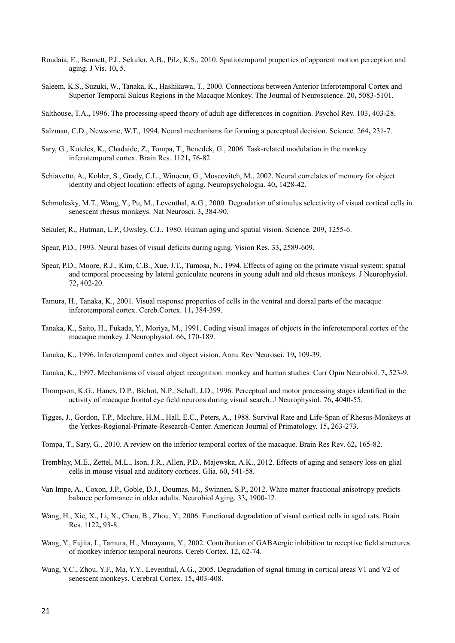- <span id="page-20-4"></span>Roudaia, E., Bennett, P.J., Sekuler, A.B., Pilz, K.S., 2010. Spatiotemporal properties of apparent motion perception and aging. J Vis. 10**,** 5.
- <span id="page-20-9"></span>Saleem, K.S., Suzuki, W., Tanaka, K., Hashikawa, T., 2000. Connections between Anterior Inferotemporal Cortex and Superior Temporal Sulcus Regions in the Macaque Monkey. The Journal of Neuroscience. 20**,** 5083-5101.
- <span id="page-20-15"></span>Salthouse, T.A., 1996. The processing-speed theory of adult age differences in cognition. Psychol Rev. 103**,** 403-28.
- <span id="page-20-18"></span>Salzman, C.D., Newsome, W.T., 1994. Neural mechanisms for forming a perceptual decision. Science. 264**,** 231-7.
- <span id="page-20-10"></span>Sary, G., Koteles, K., Chadaide, Z., Tompa, T., Benedek, G., 2006. Task-related modulation in the monkey inferotemporal cortex. Brain Res. 1121**,** 76-82.
- <span id="page-20-16"></span>Schiavetto, A., Kohler, S., Grady, C.L., Winocur, G., Moscovitch, M., 2002. Neural correlates of memory for object identity and object location: effects of aging. Neuropsychologia. 40**,** 1428-42.
- <span id="page-20-3"></span>Schmolesky, M.T., Wang, Y., Pu, M., Leventhal, A.G., 2000. Degradation of stimulus selectivity of visual cortical cells in senescent rhesus monkeys. Nat Neurosci. 3**,** 384-90.
- <span id="page-20-5"></span>Sekuler, R., Hutman, L.P., Owsley, C.J., 1980. Human aging and spatial vision. Science. 209**,** 1255-6.
- <span id="page-20-2"></span>Spear, P.D., 1993. Neural bases of visual deficits during aging. Vision Res. 33**,** 2589-609.
- <span id="page-20-17"></span>Spear, P.D., Moore, R.J., Kim, C.B., Xue, J.T., Tumosa, N., 1994. Effects of aging on the primate visual system: spatial and temporal processing by lateral geniculate neurons in young adult and old rhesus monkeys. J Neurophysiol. 72**,** 402-20.
- <span id="page-20-14"></span>Tamura, H., Tanaka, K., 2001. Visual response properties of cells in the ventral and dorsal parts of the macaque inferotemporal cortex. Cereb.Cortex. 11**,** 384-399.
- <span id="page-20-13"></span>Tanaka, K., Saito, H., Fukada, Y., Moriya, M., 1991. Coding visual images of objects in the inferotemporal cortex of the macaque monkey. J.Neurophysiol. 66**,** 170-189.
- <span id="page-20-0"></span>Tanaka, K., 1996. Inferotemporal cortex and object vision. Annu Rev Neurosci. 19**,** 109-39.
- <span id="page-20-7"></span>Tanaka, K., 1997. Mechanisms of visual object recognition: monkey and human studies. Curr Opin Neurobiol. 7**,** 523-9.
- <span id="page-20-11"></span>Thompson, K.G., Hanes, D.P., Bichot, N.P., Schall, J.D., 1996. Perceptual and motor processing stages identified in the activity of macaque frontal eye field neurons during visual search. J Neurophysiol. 76**,** 4040-55.
- <span id="page-20-6"></span>Tigges, J., Gordon, T.P., Mcclure, H.M., Hall, E.C., Peters, A., 1988. Survival Rate and Life-Span of Rhesus-Monkeys at the Yerkes-Regional-Primate-Research-Center. American Journal of Primatology. 15**,** 263-273.
- <span id="page-20-8"></span>Tompa, T., Sary, G., 2010. A review on the inferior temporal cortex of the macaque. Brain Res Rev. 62**,** 165-82.
- <span id="page-20-19"></span>Tremblay, M.E., Zettel, M.L., Ison, J.R., Allen, P.D., Majewska, A.K., 2012. Effects of aging and sensory loss on glial cells in mouse visual and auditory cortices. Glia. 60**,** 541-58.
- <span id="page-20-20"></span>Van Impe, A., Coxon, J.P., Goble, D.J., Doumas, M., Swinnen, S.P., 2012. White matter fractional anisotropy predicts balance performance in older adults. Neurobiol Aging. 33**,** 1900-12.
- <span id="page-20-1"></span>Wang, H., Xie, X., Li, X., Chen, B., Zhou, Y., 2006. Functional degradation of visual cortical cells in aged rats. Brain Res. 1122**,** 93-8.
- <span id="page-20-21"></span>Wang, Y., Fujita, I., Tamura, H., Murayama, Y., 2002. Contribution of GABAergic inhibition to receptive field structures of monkey inferior temporal neurons. Cereb Cortex. 12**,** 62-74.
- <span id="page-20-12"></span>Wang, Y.C., Zhou, Y.F., Ma, Y.Y., Leventhal, A.G., 2005. Degradation of signal timing in cortical areas V1 and V2 of senescent monkeys. Cerebral Cortex. 15**,** 403-408.